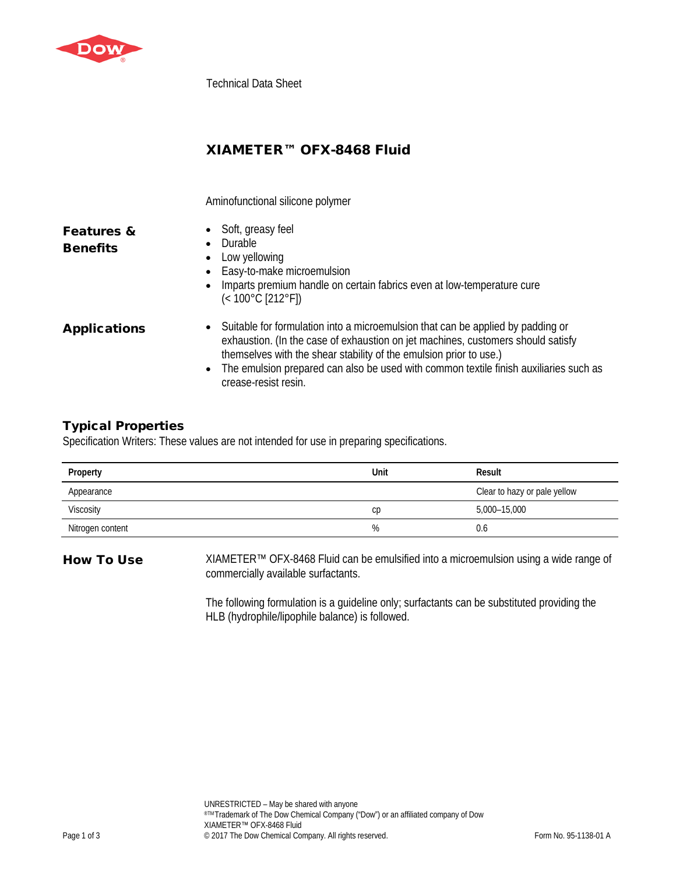

Technical Data Sheet

# XIAMETER™ OFX-8468 Fluid

Aminofunctional silicone polymer

| <b>Features &amp;</b> |  |
|-----------------------|--|
| <b>Benefits</b>       |  |

- Soft, greasy feel
- Durable
	- Low yellowing
	- Easy-to-make microemulsion
	- Imparts premium handle on certain fabrics even at low-temperature cure (< 100°C [212°F])
- Applications Suitable for formulation into a microemulsion that can be applied by padding or exhaustion. (In the case of exhaustion on jet machines, customers should satisfy themselves with the shear stability of the emulsion prior to use.)
	- The emulsion prepared can also be used with common textile finish auxiliaries such as crease-resist resin.

## Typical Properties

Specification Writers: These values are not intended for use in preparing specifications.

| Property         | Unit | Result                       |
|------------------|------|------------------------------|
| Appearance       |      | Clear to hazy or pale yellow |
| Viscosity        | cр   | 5,000-15,000                 |
| Nitrogen content | %    | 0.6                          |

How To Use XIAMETER™ OFX-8468 Fluid can be emulsified into a microemulsion using a wide range of commercially available surfactants.

> The following formulation is a guideline only; surfactants can be substituted providing the HLB (hydrophile/lipophile balance) is followed.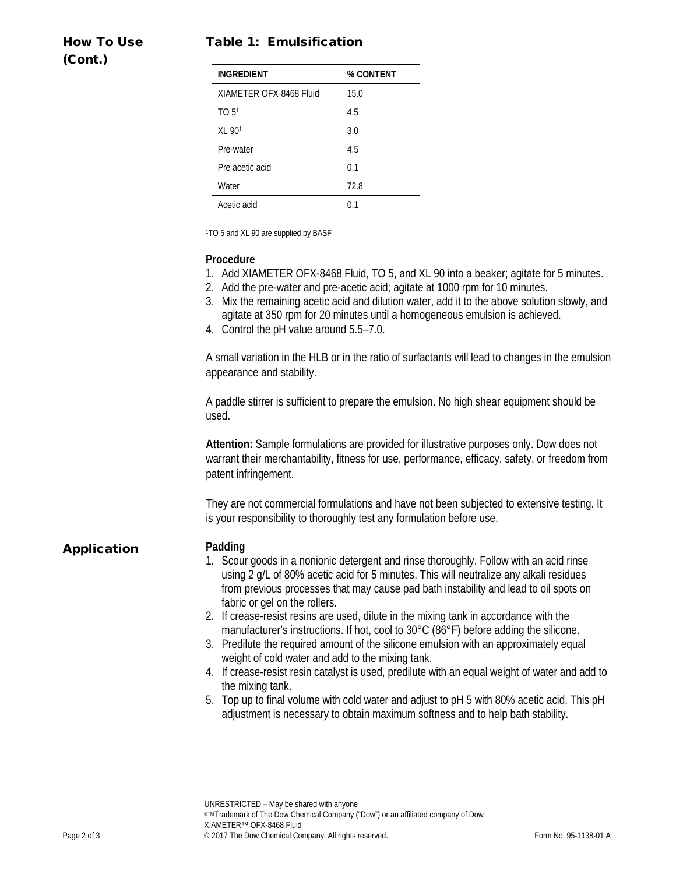## Table 1: Emulsification

| <b>How To Use</b> |  |
|-------------------|--|
| (Cont.)           |  |

| INGREDIENT              | % CONTENT |
|-------------------------|-----------|
| XIAMETER OFX-8468 Fluid | 15.0      |
| TO 5 <sup>1</sup>       | 4.5       |
| $XL$ 90 <sup>1</sup>    | 3.0       |
| Pre-water               | 4.5       |
| Pre acetic acid         | 0.1       |
| Water                   | 72.8      |
| Acetic acid             | በ 1       |

1TO 5 and XL 90 are supplied by BASF

### **Procedure**

- 1. Add XIAMETER OFX-8468 Fluid, TO 5, and XL 90 into a beaker; agitate for 5 minutes.
- 2. Add the pre-water and pre-acetic acid; agitate at 1000 rpm for 10 minutes.
- 3. Mix the remaining acetic acid and dilution water, add it to the above solution slowly, and agitate at 350 rpm for 20 minutes until a homogeneous emulsion is achieved.
- 4. Control the pH value around 5.5–7.0.

A small variation in the HLB or in the ratio of surfactants will lead to changes in the emulsion appearance and stability.

A paddle stirrer is sufficient to prepare the emulsion. No high shear equipment should be used.

**Attention:** Sample formulations are provided for illustrative purposes only. Dow does not warrant their merchantability, fitness for use, performance, efficacy, safety, or freedom from patent infringement.

They are not commercial formulations and have not been subjected to extensive testing. It is your responsibility to thoroughly test any formulation before use.

## Application **Padding**

- 1. Scour goods in a nonionic detergent and rinse thoroughly. Follow with an acid rinse using 2 g/L of 80% acetic acid for 5 minutes. This will neutralize any alkali residues from previous processes that may cause pad bath instability and lead to oil spots on fabric or gel on the rollers.
- 2. If crease-resist resins are used, dilute in the mixing tank in accordance with the manufacturer's instructions. If hot, cool to 30°C (86°F) before adding the silicone.
- 3. Predilute the required amount of the silicone emulsion with an approximately equal weight of cold water and add to the mixing tank.
- 4. If crease-resist resin catalyst is used, predilute with an equal weight of water and add to the mixing tank.
- 5. Top up to final volume with cold water and adjust to pH 5 with 80% acetic acid. This pH adjustment is necessary to obtain maximum softness and to help bath stability.